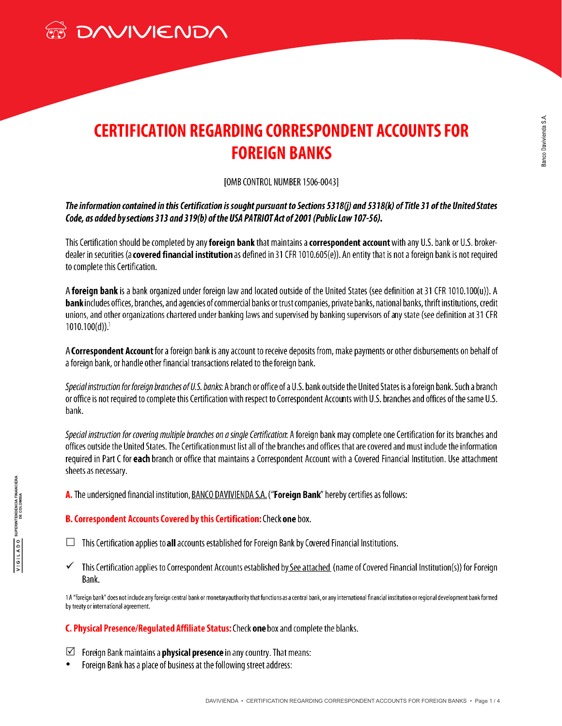

# **CERTIFICATION REGARDING CORRESPONDENT ACCOUNTS FOR FOREIGN BANKS**

[OMB CONTROL NUMBER 1506-0043]

The information contained in this Certification is sought pursuant to Sections 5318(j) and 5318(k) of Title 31 of the United States Code, as added by sections 313 and 319(b) of the USA PATRIOT Act of 2001 (Public Law 107-56).

This Certification should be completed by any foreign bank that maintains a correspondent account with any U.S. bank or U.S. brokerdealer in securities (a covered financial institution as defined in 31 CFR 1010.605(e)). An entity that is not a foreign bank is not required to complete this Certification.

A foreign bank is a bank organized under foreign law and located outside of the United States (see definition at 31 CFR 1010.100(u)). A bank includes offices, branches, and agencies of commercial banks or trust companies, private banks, national banks, thrift institutions, credit unions, and other organizations chartered under banking laws and supervised by banking supervisors of any state (see definition at 31 CFR  $1010.100(d)$ .<sup>1</sup>

A Correspondent Account for a foreign bank is any account to receive deposits from, make payments or other disbursements on behalf of a foreign bank, or handle other financial transactions related to the foreign bank.

Special instruction for foreign branches of U.S. banks: A branch or office of a U.S. bank outside the United States is a foreign bank. Such a branch or office is not required to complete this Certification with respect to Correspondent Accounts with U.S. branches and offices of the same U.S. bank.

Special instruction for covering multiple branches on a single Certification: A foreign bank may complete one Certification for its branches and offices outside the United States. The Certification must list all of the branches and offices that are covered and must include the information required in Part C for each branch or office that maintains a Correspondent Account with a Covered Financial Institution. Use attachment sheets as necessary.

A. The undersigned financial institution, BANCO DAVIVIENDA S.A. ("Foreign Bank" hereby certifies as follows:

## B. Correspondent Accounts Covered by this Certification: Check one box.

- This Certification applies to all accounts established for Foreign Bank by Covered Financial Institutions.  $\Box$
- This Certification applies to Correspondent Accounts established by See attached (name of Covered Financial Institution(s)) for Foreign  $\checkmark$ Bank.

1A "foreign bank" does not include any foreign central bank or monetary authority that functions as a central bank, or any international financial institution or regional development bank formed by treaty or international agreement.

C. Physical Presence/Regulated Affiliate Status: Check one box and complete the blanks.

- $\triangleright$  Foreign Bank maintains a **physical presence** in any country. That means:
- $\bullet$ Foreign Bank has a place of business at the following street address: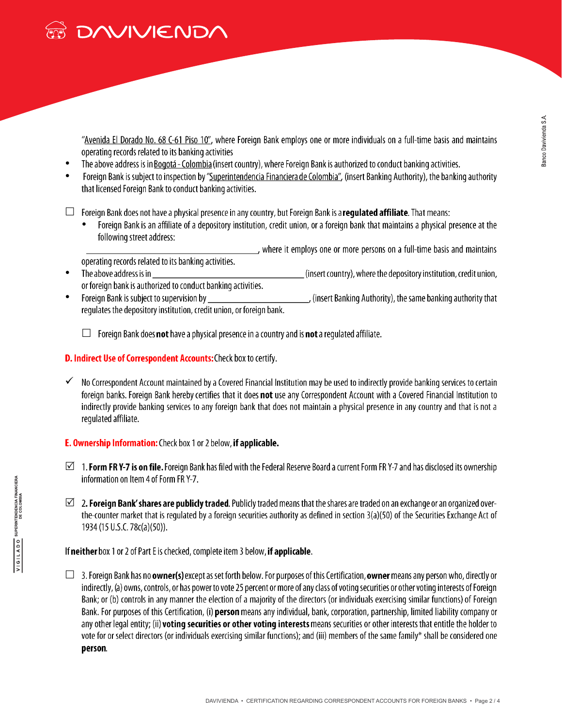

"Avenida El Dorado No. 68 C-61 Piso 10", where Foreign Bank employs one or more individuals on a full-time basis and maintains operating records related to its banking activities

- $\bullet$ The above address is in Bogotá - Colombia (insert country), where Foreign Bank is authorized to conduct banking activities.
- $\bullet$ Foreign Bank is subject to inspection by "Superintendencia Financiera de Colombia", (insert Banking Authority), the banking authority that licensed Foreign Bank to conduct banking activities.

 $\Box$  Foreign Bank does not have a physical presence in any country, but Foreign Bank is a regulated affiliate. That means:

 $\bullet$ Foreign Bank is an affiliate of a depository institution, credit union, or a foreign bank that maintains a physical presence at the following street address:

, where it employs one or more persons on a full-time basis and maintains

- operating records related to its banking activities.
- The above address is in  $\bullet$ (insert country), where the depository institution, credit union, or foreign bank is authorized to conduct banking activities.  $\bullet$
- Foreign Bank is subject to supervision by , (insert Banking Authority), the same banking authority that regulates the depository institution, credit union, or foreign bank.
	- $\Box$  Foreign Bank does **not** have a physical presence in a country and is **not** a regulated affiliate.

# D. Indirect Use of Correspondent Accounts: Check box to certify.

 $\checkmark$ No Correspondent Account maintained by a Covered Financial Institution may be used to indirectly provide banking services to certain foreign banks. Foreign Bank hereby certifies that it does not use any Correspondent Account with a Covered Financial Institution to indirectly provide banking services to any foreign bank that does not maintain a physical presence in any country and that is not a requlated affiliate.

## **E. Ownership Information:** Check box 1 or 2 below, if applicable.

- $\boxtimes$  1. Form FR Y-7 is on file. Foreign Bank has filed with the Federal Reserve Board a current Form FR Y-7 and has disclosed its ownership information on Item 4 of Form FR Y-7.
- $\boxtimes$  2. Foreign Bank' shares are publicly traded. Publicly traded means that the shares are traded on an exchange or an organized overthe-counter market that is regulated by a foreign securities authority as defined in section  $3(a)(50)$  of the Securities Exchange Act of 1934 (15 U.S.C. 78c(a)(50)).

## If neither box 1 or 2 of Part E is checked, complete item 3 below, if applicable.

 $\Box$  3. Foreign Bank has no **owner(s)** except as set forth below. For purposes of this Certification, **owner** means any person who, directly or indirectly, (a) owns, controls, or has power to vote 25 percent or more of any class of voting securities or other voting interests of Foreign Bank; or (b) controls in any manner the election of a majority of the directors (or individuals exercising similar functions) of Foreign Bank. For purposes of this Certification, (i) person means any individual, bank, corporation, partnership, limited liability company or any other legal entity; (ii) voting securities or other voting interests means securities or other interests that entitle the holder to vote for or select directors (or individuals exercising similar functions); and (iii) members of the same family\* shall be considered one person.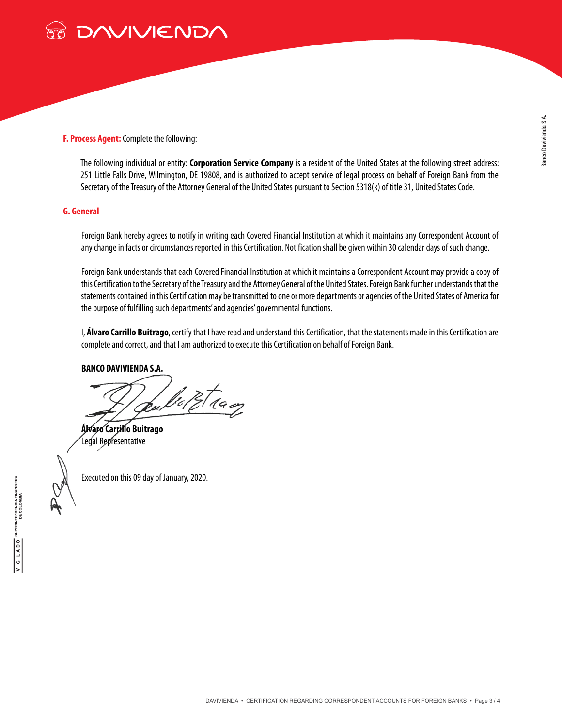

#### **F. Process Agent:** Complete the following:

The following individual or entity: **Corporation Service Company** is a resident of the United States at the following street address: 251 Little Falls Drive, Wilmington, DE 19808, and is authorized to accept service of legal process on behalf of Foreign Bank from the Secretary of the Treasury of the Attorney General of the United States pursuant to Section 5318(k) of title 31, United States Code.

#### **G. General**

Foreign Bank hereby agrees to notify in writing each Covered Financial Institution at which it maintains any Correspondent Account of any change in facts or circumstances reported in this Certification. Notification shall be given within 30 calendar days of such change.

Foreign Bank understands that each Covered Financial Institution at which it maintains a Correspondent Account may provide a copy of this Certification to the Secretary of the Treasury and the Attorney General of the United States. Foreign Bank further understands that the statements contained in this Certification may be transmitted to one or more departments or agencies of the United States of America for the purpose of fulfilling such departments' and agencies' governmental functions.

I, **Álvaro Carrillo Buitrago**, certify that I have read and understand this Certification, that the statements made in this Certification are complete and correct, and that I am authorized to execute this Certification on behalf of Foreign Bank.

#### **BANCO DAVIVIENDA S.A.**

held tag

**Álvaro Carrillo Buitrago** Legal Representative

Executed on this 09 day of January, 2020.